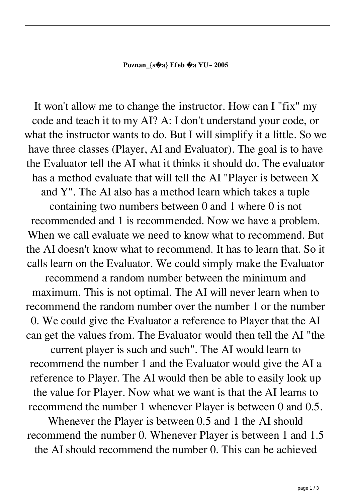## **Poznan\_{s�a} Efeb �a YU~ 2005**

It won't allow me to change the instructor. How can I "fix" my code and teach it to my AI? A: I don't understand your code, or what the instructor wants to do. But I will simplify it a little. So we have three classes (Player, AI and Evaluator). The goal is to have the Evaluator tell the AI what it thinks it should do. The evaluator has a method evaluate that will tell the AI "Player is between X and Y". The AI also has a method learn which takes a tuple containing two numbers between 0 and 1 where 0 is not recommended and 1 is recommended. Now we have a problem. When we call evaluate we need to know what to recommend. But the AI doesn't know what to recommend. It has to learn that. So it calls learn on the Evaluator. We could simply make the Evaluator recommend a random number between the minimum and maximum. This is not optimal. The AI will never learn when to recommend the random number over the number 1 or the number

0. We could give the Evaluator a reference to Player that the AI can get the values from. The Evaluator would then tell the AI "the

current player is such and such". The AI would learn to recommend the number 1 and the Evaluator would give the AI a reference to Player. The AI would then be able to easily look up the value for Player. Now what we want is that the AI learns to recommend the number 1 whenever Player is between 0 and 0.5.

Whenever the Player is between 0.5 and 1 the AI should recommend the number 0. Whenever Player is between 1 and 1.5 the AI should recommend the number 0. This can be achieved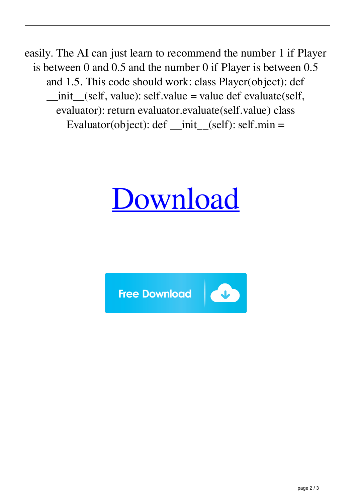easily. The AI can just learn to recommend the number 1 if Player is between 0 and 0.5 and the number 0 if Player is between 0.5 and 1.5. This code should work: class Player(object): def  $_1$ init (self, value): self.value = value def evaluate(self, evaluator): return evaluator.evaluate(self.value) class Evaluator(object):  $def\_init_(self): self.min =$ 

## [Download](https://tlniurl.com/2l0fla)